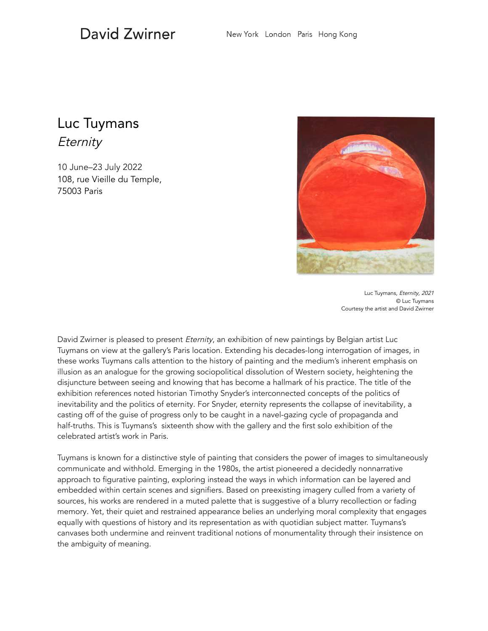## David Zwirner

## Luc Tuymans **Eternity**

10 June–23 July 2022 108, rue Vieille du Temple, 75003 Paris



Luc Tuymans, Eternity, 2021 © Luc Tuymans Courtesy the artist and David Zwirner

David Zwirner is pleased to present Eternity, an exhibition of new paintings by Belgian artist Luc Tuymans on view at the gallery's Paris location. Extending his decades-long interrogation of images, in these works Tuymans calls attention to the history of painting and the medium's inherent emphasis on illusion as an analogue for the growing sociopolitical dissolution of Western society, heightening the disjuncture between seeing and knowing that has become a hallmark of his practice. The title of the exhibition references noted historian Timothy Snyder's interconnected concepts of the politics of inevitability and the politics of eternity. For Snyder, eternity represents the collapse of inevitability, a casting off of the guise of progress only to be caught in a navel-gazing cycle of propaganda and half-truths. This is Tuymans's sixteenth show with the gallery and the first solo exhibition of the celebrated artist's work in Paris.

Tuymans is known for a distinctive style of painting that considers the power of images to simultaneously communicate and withhold. Emerging in the 1980s, the artist pioneered a decidedly nonnarrative approach to figurative painting, exploring instead the ways in which information can be layered and embedded within certain scenes and signifiers. Based on preexisting imagery culled from a variety of sources, his works are rendered in a muted palette that is suggestive of a blurry recollection or fading memory. Yet, their quiet and restrained appearance belies an underlying moral complexity that engages equally with questions of history and its representation as with quotidian subject matter. Tuymans's canvases both undermine and reinvent traditional notions of monumentality through their insistence on the ambiguity of meaning.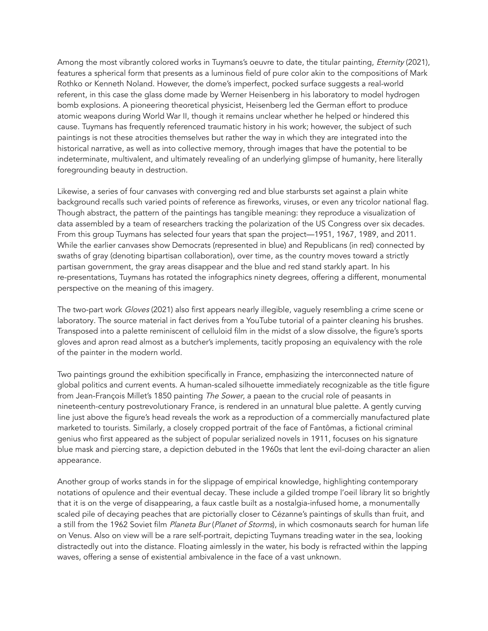Among the most vibrantly colored works in Tuymans's oeuvre to date, the titular painting, *Eternity* (2021), features a spherical form that presents as a luminous field of pure color akin to the compositions of Mark Rothko or Kenneth Noland. However, the dome's imperfect, pocked surface suggests a real-world referent, in this case the glass dome made by Werner Heisenberg in his laboratory to model hydrogen bomb explosions. A pioneering theoretical physicist, Heisenberg led the German effort to produce atomic weapons during World War II, though it remains unclear whether he helped or hindered this cause. Tuymans has frequently referenced traumatic history in his work; however, the subject of such paintings is not these atrocities themselves but rather the way in which they are integrated into the historical narrative, as well as into collective memory, through images that have the potential to be indeterminate, multivalent, and ultimately revealing of an underlying glimpse of humanity, here literally foregrounding beauty in destruction.

Likewise, a series of four canvases with converging red and blue starbursts set against a plain white background recalls such varied points of reference as fireworks, viruses, or even any tricolor national flag. Though abstract, the pattern of the paintings has tangible meaning: they reproduce a visualization of data assembled by a team of researchers tracking the polarization of the US Congress over six decades. From this group Tuymans has selected four years that span the project—1951, 1967, 1989, and 2011. While the earlier canvases show Democrats (represented in blue) and Republicans (in red) connected by swaths of gray (denoting bipartisan collaboration), over time, as the country moves toward a strictly partisan government, the gray areas disappear and the blue and red stand starkly apart. In his re-presentations, Tuymans has rotated the infographics ninety degrees, offering a different, monumental perspective on the meaning of this imagery.

The two-part work Gloves (2021) also first appears nearly illegible, vaguely resembling a crime scene or laboratory. The source material in fact derives from a YouTube tutorial of a painter cleaning his brushes. Transposed into a palette reminiscent of celluloid film in the midst of a slow dissolve, the figure's sports gloves and apron read almost as a butcher's implements, tacitly proposing an equivalency with the role of the painter in the modern world.

Two paintings ground the exhibition specifically in France, emphasizing the interconnected nature of global politics and current events. A human-scaled silhouette immediately recognizable as the title figure from Jean-François Millet's 1850 painting The Sower, a paean to the crucial role of peasants in nineteenth-century postrevolutionary France, is rendered in an unnatural blue palette. A gently curving line just above the figure's head reveals the work as a reproduction of a commercially manufactured plate marketed to tourists. Similarly, a closely cropped portrait of the face of Fantômas, a fictional criminal genius who first appeared as the subject of popular serialized novels in 1911, focuses on his signature blue mask and piercing stare, a depiction debuted in the 1960s that lent the evil-doing character an alien appearance.

Another group of works stands in for the slippage of empirical knowledge, highlighting contemporary notations of opulence and their eventual decay. These include a gilded trompe l'oeil library lit so brightly that it is on the verge of disappearing, a faux castle built as a nostalgia-infused home, a monumentally scaled pile of decaying peaches that are pictorially closer to Cézanne's paintings of skulls than fruit, and a still from the 1962 Soviet film Planeta Bur (Planet of Storms), in which cosmonauts search for human life on Venus. Also on view will be a rare self-portrait, depicting Tuymans treading water in the sea, looking distractedly out into the distance. Floating aimlessly in the water, his body is refracted within the lapping waves, offering a sense of existential ambivalence in the face of a vast unknown.